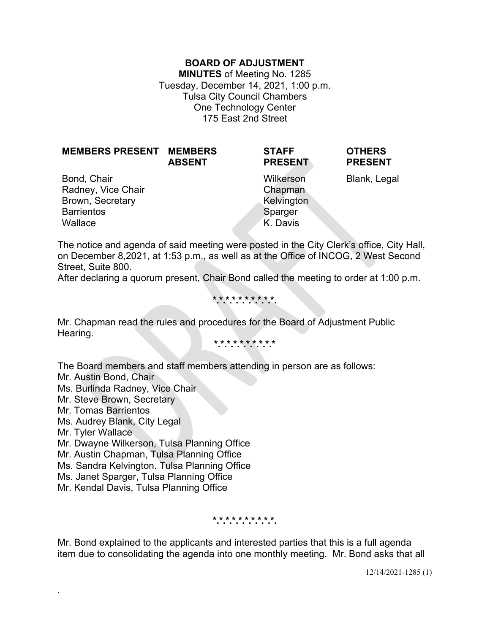### **BOARD OF ADJUSTMENT**

**MINUTES** of Meeting No. 1285 Tuesday, December 14, 2021, 1:00 p.m. Tulsa City Council Chambers One Technology Center 175 East 2nd Street

| <b>MEMBERS PRESENT MEMBERS</b>                        | <b>ABSENT</b> | <b>STAFF</b><br><b>PRESENT</b>     | <b>OTHERS</b><br><b>PRESENT</b> |
|-------------------------------------------------------|---------------|------------------------------------|---------------------------------|
| Bond, Chair<br>Radney, Vice Chair<br>Brown, Secretary |               | Wilkerson<br>Chapman<br>Kelvington | Blank, Legal                    |
| <b>Barrientos</b>                                     |               | Sparger                            |                                 |
| Wallace                                               |               | K. Davis                           |                                 |

The notice and agenda of said meeting were posted in the City Clerk's office, City Hall, on December 8,2021, at 1:53 p.m., as well as at the Office of INCOG, 2 West Second Street, Suite 800.

After declaring a quorum present, Chair Bond called the meeting to order at 1:00 p.m.

**\*.\*.\*.\*.\*.\*.\*.\*.\*.\*.** 

Mr. Chapman read the rules and procedures for the Board of Adjustment Public Hearing.

**\*.\*.\*.\*.\*.\*.\*.\*.\*.\***

The Board members and staff members attending in person are as follows:

Mr. Austin Bond, Chair

Ms. Burlinda Radney, Vice Chair

Mr. Steve Brown, Secretary

Mr. Tomas Barrientos

Ms. Audrey Blank, City Legal

Mr. Tyler Wallace

.

Mr. Dwayne Wilkerson, Tulsa Planning Office

Mr. Austin Chapman, Tulsa Planning Office

Ms. Sandra Kelvington. Tulsa Planning Office

Ms. Janet Sparger, Tulsa Planning Office

Mr. Kendal Davis, Tulsa Planning Office

**\*.\*.\*.\*.\*.\*.\*.\*.\*.\*.** 

Mr. Bond explained to the applicants and interested parties that this is a full agenda item due to consolidating the agenda into one monthly meeting. Mr. Bond asks that all

12/14/2021-1285 (1)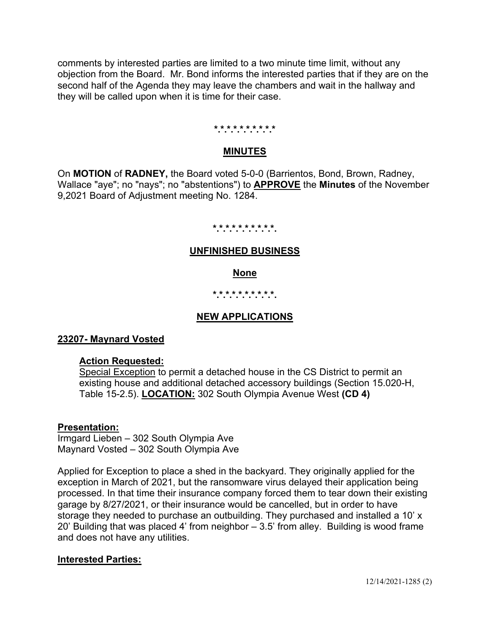comments by interested parties are limited to a two minute time limit, without any objection from the Board. Mr. Bond informs the interested parties that if they are on the second half of the Agenda they may leave the chambers and wait in the hallway and they will be called upon when it is time for their case.

#### **\*.\*.\*.\*.\*.\*.\*.\*.\*.\***

### **MINUTES**

On **MOTION** of **RADNEY,** the Board voted 5-0-0 (Barrientos, Bond, Brown, Radney, Wallace "aye"; no "nays"; no "abstentions") to **APPROVE** the **Minutes** of the November 9,2021 Board of Adjustment meeting No. 1284.

#### **\*.\*.\*.\*.\*.\*.\*.\*.\*.\*.**

### **UNFINISHED BUSINESS**

### **None**

## **\*.\*.\*.\*.\*.\*.\*.\*.\*.\*.**

## **NEW APPLICATIONS**

### **23207- Maynard Vosted**

### **Action Requested:**

Special Exception to permit a detached house in the CS District to permit an existing house and additional detached accessory buildings (Section 15.020-H, Table 15-2.5). **LOCATION:** 302 South Olympia Avenue West **(CD 4)**

### **Presentation:**

Irmgard Lieben – 302 South Olympia Ave Maynard Vosted – 302 South Olympia Ave

Applied for Exception to place a shed in the backyard. They originally applied for the exception in March of 2021, but the ransomware virus delayed their application being processed. In that time their insurance company forced them to tear down their existing garage by 8/27/2021, or their insurance would be cancelled, but in order to have storage they needed to purchase an outbuilding. They purchased and installed a 10' x 20' Building that was placed 4' from neighbor – 3.5' from alley. Building is wood frame and does not have any utilities.

## **Interested Parties:**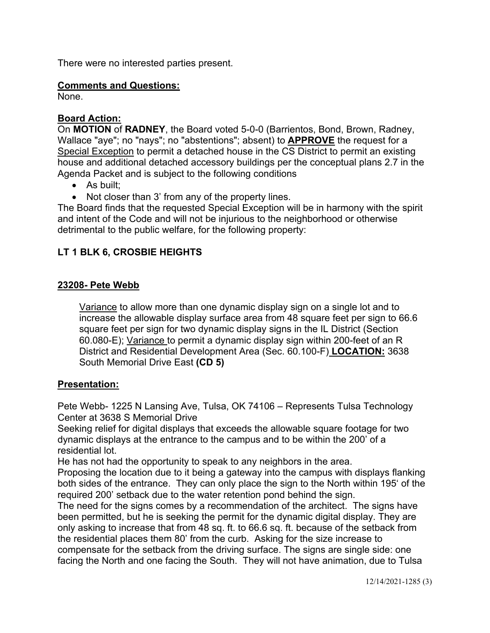There were no interested parties present.

## **Comments and Questions:**

None.

# **Board Action:**

On **MOTION** of **RADNEY**, the Board voted 5-0-0 (Barrientos, Bond, Brown, Radney, Wallace "aye"; no "nays"; no "abstentions"; absent) to **APPROVE** the request for a Special Exception to permit a detached house in the CS District to permit an existing house and additional detached accessory buildings per the conceptual plans 2.7 in the Agenda Packet and is subject to the following conditions

- As built:
- Not closer than 3' from any of the property lines.

The Board finds that the requested Special Exception will be in harmony with the spirit and intent of the Code and will not be injurious to the neighborhood or otherwise detrimental to the public welfare, for the following property:

# **LT 1 BLK 6, CROSBIE HEIGHTS**

## **23208- Pete Webb**

Variance to allow more than one dynamic display sign on a single lot and to increase the allowable display surface area from 48 square feet per sign to 66.6 square feet per sign for two dynamic display signs in the IL District (Section 60.080-E); Variance to permit a dynamic display sign within 200-feet of an R District and Residential Development Area (Sec. 60.100-F) **LOCATION:** 3638 South Memorial Drive East **(CD 5)**

## **Presentation:**

Pete Webb- 1225 N Lansing Ave, Tulsa, OK 74106 – Represents Tulsa Technology Center at 3638 S Memorial Drive

Seeking relief for digital displays that exceeds the allowable square footage for two dynamic displays at the entrance to the campus and to be within the 200' of a residential lot.

He has not had the opportunity to speak to any neighbors in the area.

Proposing the location due to it being a gateway into the campus with displays flanking both sides of the entrance. They can only place the sign to the North within 195' of the required 200' setback due to the water retention pond behind the sign.

The need for the signs comes by a recommendation of the architect. The signs have been permitted, but he is seeking the permit for the dynamic digital display. They are only asking to increase that from 48 sq. ft. to 66.6 sq. ft. because of the setback from the residential places them 80' from the curb. Asking for the size increase to compensate for the setback from the driving surface. The signs are single side: one facing the North and one facing the South. They will not have animation, due to Tulsa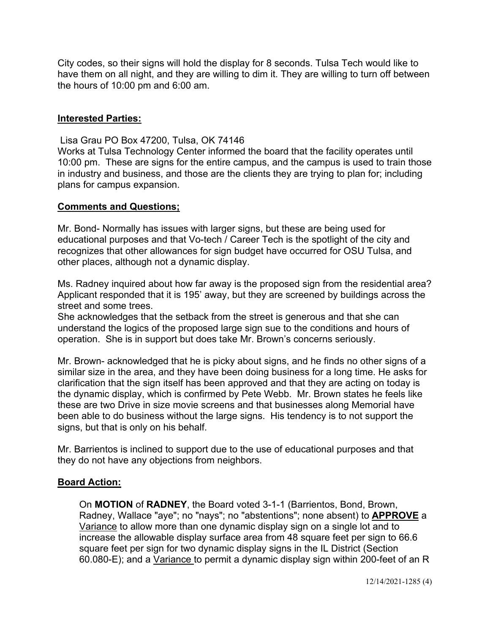City codes, so their signs will hold the display for 8 seconds. Tulsa Tech would like to have them on all night, and they are willing to dim it. They are willing to turn off between the hours of 10:00 pm and 6:00 am.

### **Interested Parties:**

Lisa Grau PO Box 47200, Tulsa, OK 74146

Works at Tulsa Technology Center informed the board that the facility operates until 10:00 pm. These are signs for the entire campus, and the campus is used to train those in industry and business, and those are the clients they are trying to plan for; including plans for campus expansion.

### **Comments and Questions;**

Mr. Bond- Normally has issues with larger signs, but these are being used for educational purposes and that Vo-tech / Career Tech is the spotlight of the city and recognizes that other allowances for sign budget have occurred for OSU Tulsa, and other places, although not a dynamic display.

Ms. Radney inquired about how far away is the proposed sign from the residential area? Applicant responded that it is 195' away, but they are screened by buildings across the street and some trees.

She acknowledges that the setback from the street is generous and that she can understand the logics of the proposed large sign sue to the conditions and hours of operation. She is in support but does take Mr. Brown's concerns seriously.

Mr. Brown- acknowledged that he is picky about signs, and he finds no other signs of a similar size in the area, and they have been doing business for a long time. He asks for clarification that the sign itself has been approved and that they are acting on today is the dynamic display, which is confirmed by Pete Webb. Mr. Brown states he feels like these are two Drive in size movie screens and that businesses along Memorial have been able to do business without the large signs. His tendency is to not support the signs, but that is only on his behalf.

Mr. Barrientos is inclined to support due to the use of educational purposes and that they do not have any objections from neighbors.

### **Board Action:**

On **MOTION** of **RADNEY**, the Board voted 3-1-1 (Barrientos, Bond, Brown, Radney, Wallace "aye"; no "nays"; no "abstentions"; none absent) to **APPROVE** a Variance to allow more than one dynamic display sign on a single lot and to increase the allowable display surface area from 48 square feet per sign to 66.6 square feet per sign for two dynamic display signs in the IL District (Section 60.080-E); and a Variance to permit a dynamic display sign within 200-feet of an R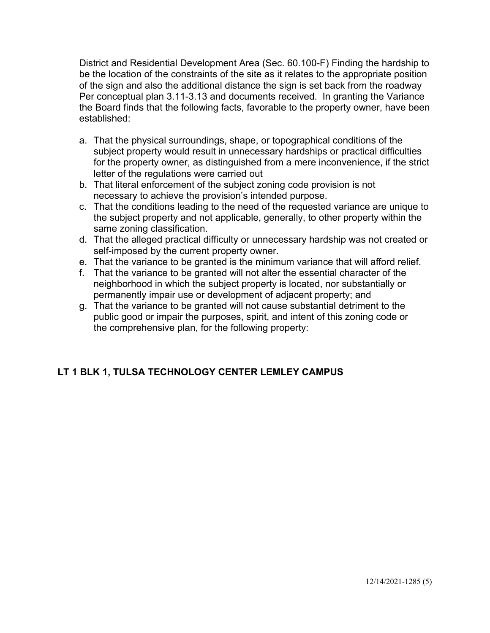District and Residential Development Area (Sec. 60.100-F) Finding the hardship to be the location of the constraints of the site as it relates to the appropriate position of the sign and also the additional distance the sign is set back from the roadway Per conceptual plan 3.11-3.13 and documents received. In granting the Variance the Board finds that the following facts, favorable to the property owner, have been established:

- a. That the physical surroundings, shape, or topographical conditions of the subject property would result in unnecessary hardships or practical difficulties for the property owner, as distinguished from a mere inconvenience, if the strict letter of the regulations were carried out
- b. That literal enforcement of the subject zoning code provision is not necessary to achieve the provision's intended purpose.
- c. That the conditions leading to the need of the requested variance are unique to the subject property and not applicable, generally, to other property within the same zoning classification.
- d. That the alleged practical difficulty or unnecessary hardship was not created or self-imposed by the current property owner.
- e. That the variance to be granted is the minimum variance that will afford relief.
- f. That the variance to be granted will not alter the essential character of the neighborhood in which the subject property is located, nor substantially or permanently impair use or development of adjacent property; and
- g. That the variance to be granted will not cause substantial detriment to the public good or impair the purposes, spirit, and intent of this zoning code or the comprehensive plan, for the following property:

# **LT 1 BLK 1, TULSA TECHNOLOGY CENTER LEMLEY CAMPUS**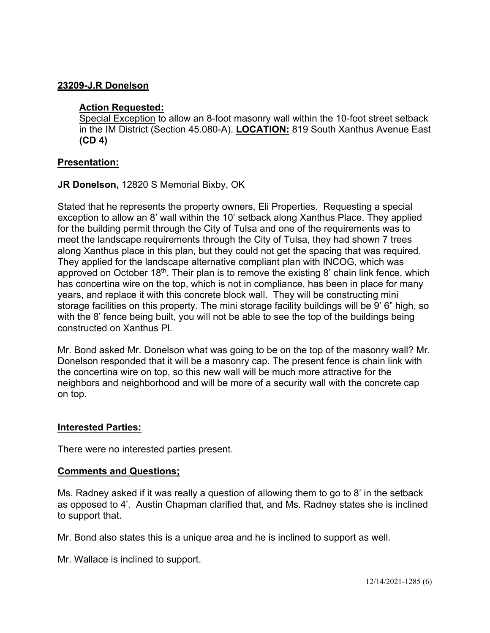## **23209-J.R Donelson**

## **Action Requested:**

Special Exception to allow an 8-foot masonry wall within the 10-foot street setback in the IM District (Section 45.080-A). **LOCATION:** 819 South Xanthus Avenue East **(CD 4)** 

## **Presentation:**

## **JR Donelson,** 12820 S Memorial Bixby, OK

Stated that he represents the property owners, Eli Properties. Requesting a special exception to allow an 8' wall within the 10' setback along Xanthus Place. They applied for the building permit through the City of Tulsa and one of the requirements was to meet the landscape requirements through the City of Tulsa, they had shown 7 trees along Xanthus place in this plan, but they could not get the spacing that was required. They applied for the landscape alternative compliant plan with INCOG, which was approved on October 18<sup>th</sup>. Their plan is to remove the existing 8' chain link fence, which has concertina wire on the top, which is not in compliance, has been in place for many years, and replace it with this concrete block wall. They will be constructing mini storage facilities on this property. The mini storage facility buildings will be 9' 6" high, so with the 8' fence being built, you will not be able to see the top of the buildings being constructed on Xanthus Pl.

Mr. Bond asked Mr. Donelson what was going to be on the top of the masonry wall? Mr. Donelson responded that it will be a masonry cap. The present fence is chain link with the concertina wire on top, so this new wall will be much more attractive for the neighbors and neighborhood and will be more of a security wall with the concrete cap on top.

## **Interested Parties:**

There were no interested parties present.

## **Comments and Questions;**

Ms. Radney asked if it was really a question of allowing them to go to 8' in the setback as opposed to 4'. Austin Chapman clarified that, and Ms. Radney states she is inclined to support that.

Mr. Bond also states this is a unique area and he is inclined to support as well.

Mr. Wallace is inclined to support.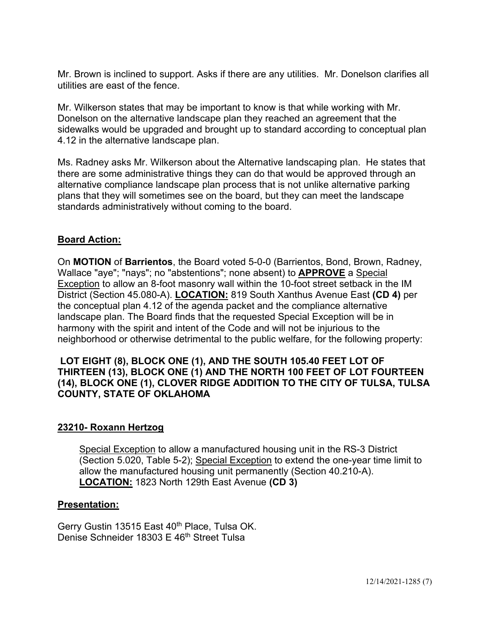Mr. Brown is inclined to support. Asks if there are any utilities. Mr. Donelson clarifies all utilities are east of the fence.

Mr. Wilkerson states that may be important to know is that while working with Mr. Donelson on the alternative landscape plan they reached an agreement that the sidewalks would be upgraded and brought up to standard according to conceptual plan 4.12 in the alternative landscape plan.

Ms. Radney asks Mr. Wilkerson about the Alternative landscaping plan. He states that there are some administrative things they can do that would be approved through an alternative compliance landscape plan process that is not unlike alternative parking plans that they will sometimes see on the board, but they can meet the landscape standards administratively without coming to the board.

## **Board Action:**

On **MOTION** of **Barrientos**, the Board voted 5-0-0 (Barrientos, Bond, Brown, Radney, Wallace "aye"; "nays"; no "abstentions"; none absent) to **APPROVE** a Special Exception to allow an 8-foot masonry wall within the 10-foot street setback in the IM District (Section 45.080-A). **LOCATION:** 819 South Xanthus Avenue East **(CD 4)** per the conceptual plan 4.12 of the agenda packet and the compliance alternative landscape plan. The Board finds that the requested Special Exception will be in harmony with the spirit and intent of the Code and will not be injurious to the neighborhood or otherwise detrimental to the public welfare, for the following property:

### **LOT EIGHT (8), BLOCK ONE (1), AND THE SOUTH 105.40 FEET LOT OF THIRTEEN (13), BLOCK ONE (1) AND THE NORTH 100 FEET OF LOT FOURTEEN (14), BLOCK ONE (1), CLOVER RIDGE ADDITION TO THE CITY OF TULSA, TULSA COUNTY, STATE OF OKLAHOMA**

## **23210- Roxann Hertzog**

Special Exception to allow a manufactured housing unit in the RS-3 District (Section 5.020, Table 5-2); Special Exception to extend the one-year time limit to allow the manufactured housing unit permanently (Section 40.210-A). **LOCATION:** 1823 North 129th East Avenue **(CD 3)** 

### **Presentation:**

Gerry Gustin 13515 East 40<sup>th</sup> Place, Tulsa OK. Denise Schneider 18303 E 46<sup>th</sup> Street Tulsa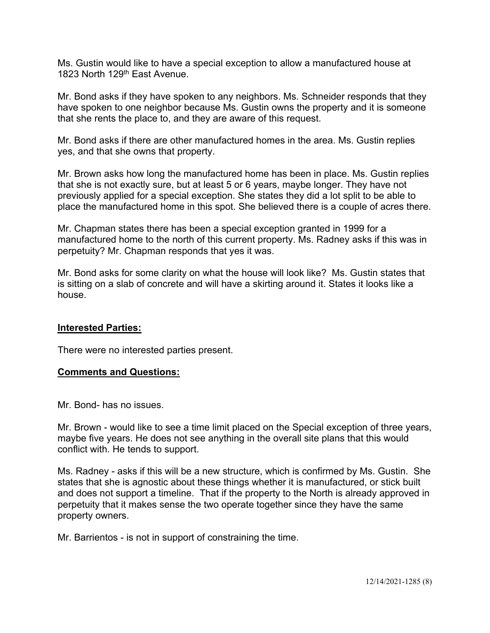Ms. Gustin would like to have a special exception to allow a manufactured house at 1823 North 129<sup>th</sup> East Avenue

Mr. Bond asks if they have spoken to any neighbors. Ms. Schneider responds that they have spoken to one neighbor because Ms. Gustin owns the property and it is someone that she rents the place to, and they are aware of this request.

Mr. Bond asks if there are other manufactured homes in the area. Ms. Gustin replies yes, and that she owns that property.

Mr. Brown asks how long the manufactured home has been in place. Ms. Gustin replies that she is not exactly sure, but at least 5 or 6 years, maybe longer. They have not previously applied for a special exception. She states they did a lot split to be able to place the manufactured home in this spot. She believed there is a couple of acres there.

Mr. Chapman states there has been a special exception granted in 1999 for a manufactured home to the north of this current property. Ms. Radney asks if this was in perpetuity? Mr. Chapman responds that yes it was.

Mr. Bond asks for some clarity on what the house will look like? Ms. Gustin states that is sitting on a slab of concrete and will have a skirting around it. States it looks like a house.

### **Interested Parties:**

There were no interested parties present.

### **Comments and Questions:**

Mr. Bond- has no issues.

Mr. Brown - would like to see a time limit placed on the Special exception of three years, maybe five years. He does not see anything in the overall site plans that this would conflict with. He tends to support.

Ms. Radney - asks if this will be a new structure, which is confirmed by Ms. Gustin. She states that she is agnostic about these things whether it is manufactured, or stick built and does not support a timeline. That if the property to the North is already approved in perpetuity that it makes sense the two operate together since they have the same property owners.

Mr. Barrientos - is not in support of constraining the time.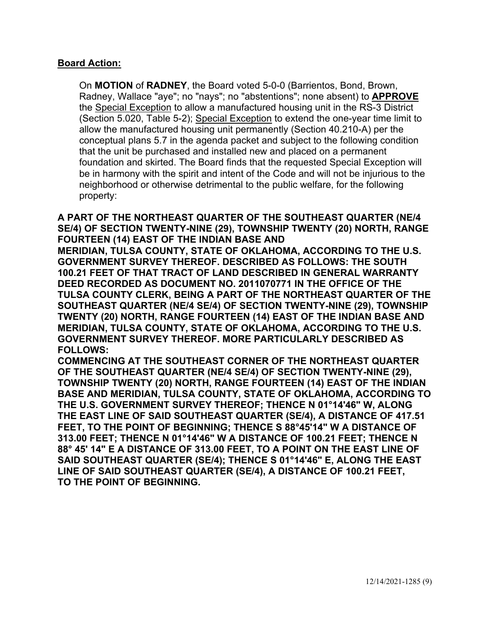### **Board Action:**

On **MOTION** of **RADNEY**, the Board voted 5-0-0 (Barrientos, Bond, Brown, Radney, Wallace "aye"; no "nays"; no "abstentions"; none absent) to **APPROVE** the Special Exception to allow a manufactured housing unit in the RS-3 District (Section 5.020, Table 5-2); Special Exception to extend the one-year time limit to allow the manufactured housing unit permanently (Section 40.210-A) per the conceptual plans 5.7 in the agenda packet and subject to the following condition that the unit be purchased and installed new and placed on a permanent foundation and skirted. The Board finds that the requested Special Exception will be in harmony with the spirit and intent of the Code and will not be injurious to the neighborhood or otherwise detrimental to the public welfare, for the following property:

**A PART OF THE NORTHEAST QUARTER OF THE SOUTHEAST QUARTER (NE/4 SE/4) OF SECTION TWENTY-NINE (29), TOWNSHIP TWENTY (20) NORTH, RANGE FOURTEEN (14) EAST OF THE INDIAN BASE AND MERIDIAN, TULSA COUNTY, STATE OF OKLAHOMA, ACCORDING TO THE U.S. GOVERNMENT SURVEY THEREOF. DESCRIBED AS FOLLOWS: THE SOUTH 100.21 FEET OF THAT TRACT OF LAND DESCRIBED IN GENERAL WARRANTY DEED RECORDED AS DOCUMENT NO. 2011070771 IN THE OFFICE OF THE TULSA COUNTY CLERK, BEING A PART OF THE NORTHEAST QUARTER OF THE SOUTHEAST QUARTER (NE/4 SE/4) OF SECTION TWENTY-NINE (29), TOWNSHIP TWENTY (20) NORTH, RANGE FOURTEEN (14) EAST OF THE INDIAN BASE AND MERIDIAN, TULSA COUNTY, STATE OF OKLAHOMA, ACCORDING TO THE U.S. GOVERNMENT SURVEY THEREOF. MORE PARTICULARLY DESCRIBED AS FOLLOWS:** 

**COMMENCING AT THE SOUTHEAST CORNER OF THE NORTHEAST QUARTER OF THE SOUTHEAST QUARTER (NE/4 SE/4) OF SECTION TWENTY-NINE (29), TOWNSHIP TWENTY (20) NORTH, RANGE FOURTEEN (14) EAST OF THE INDIAN BASE AND MERIDIAN, TULSA COUNTY, STATE OF OKLAHOMA, ACCORDING TO THE U.S. GOVERNMENT SURVEY THEREOF; THENCE N 01°14'46" W, ALONG THE EAST LINE OF SAID SOUTHEAST QUARTER (SE/4), A DISTANCE OF 417.51 FEET, TO THE POINT OF BEGINNING; THENCE S 88°45'14" W A DISTANCE OF 313.00 FEET; THENCE N 01°14'46" W A DISTANCE OF 100.21 FEET; THENCE N 88° 45' 14" E A DISTANCE OF 313.00 FEET, TO A POINT ON THE EAST LINE OF SAID SOUTHEAST QUARTER (SE/4); THENCE S 01°14'46" E, ALONG THE EAST LINE OF SAID SOUTHEAST QUARTER (SE/4), A DISTANCE OF 100.21 FEET, TO THE POINT OF BEGINNING.**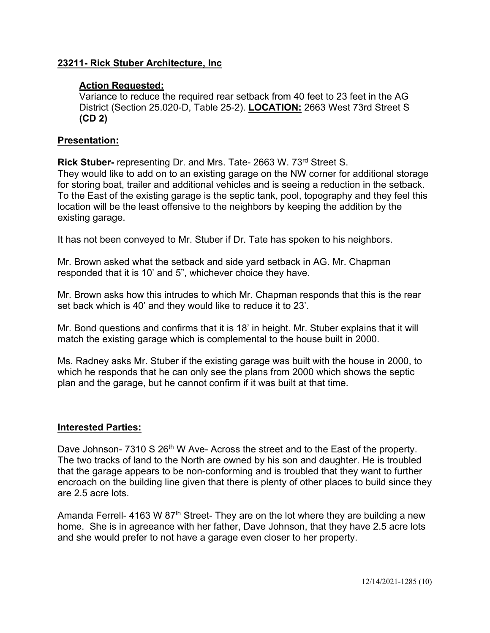## **23211- Rick Stuber Architecture, Inc**

### **Action Requested:**

Variance to reduce the required rear setback from 40 feet to 23 feet in the AG District (Section 25.020-D, Table 25-2). **LOCATION:** 2663 West 73rd Street S **(CD 2)** 

### **Presentation:**

**Rick Stuber-** representing Dr. and Mrs. Tate- 2663 W. 73rd Street S. They would like to add on to an existing garage on the NW corner for additional storage for storing boat, trailer and additional vehicles and is seeing a reduction in the setback. To the East of the existing garage is the septic tank, pool, topography and they feel this location will be the least offensive to the neighbors by keeping the addition by the existing garage.

It has not been conveyed to Mr. Stuber if Dr. Tate has spoken to his neighbors.

Mr. Brown asked what the setback and side yard setback in AG. Mr. Chapman responded that it is 10' and 5", whichever choice they have.

Mr. Brown asks how this intrudes to which Mr. Chapman responds that this is the rear set back which is 40' and they would like to reduce it to 23'.

Mr. Bond questions and confirms that it is 18' in height. Mr. Stuber explains that it will match the existing garage which is complemental to the house built in 2000.

Ms. Radney asks Mr. Stuber if the existing garage was built with the house in 2000, to which he responds that he can only see the plans from 2000 which shows the septic plan and the garage, but he cannot confirm if it was built at that time.

### **Interested Parties:**

Dave Johnson- 7310 S 26<sup>th</sup> W Ave- Across the street and to the East of the property. The two tracks of land to the North are owned by his son and daughter. He is troubled that the garage appears to be non-conforming and is troubled that they want to further encroach on the building line given that there is plenty of other places to build since they are 2.5 acre lots.

Amanda Ferrell- 4163 W  $87<sup>th</sup>$  Street- They are on the lot where they are building a new home. She is in agreeance with her father, Dave Johnson, that they have 2.5 acre lots and she would prefer to not have a garage even closer to her property.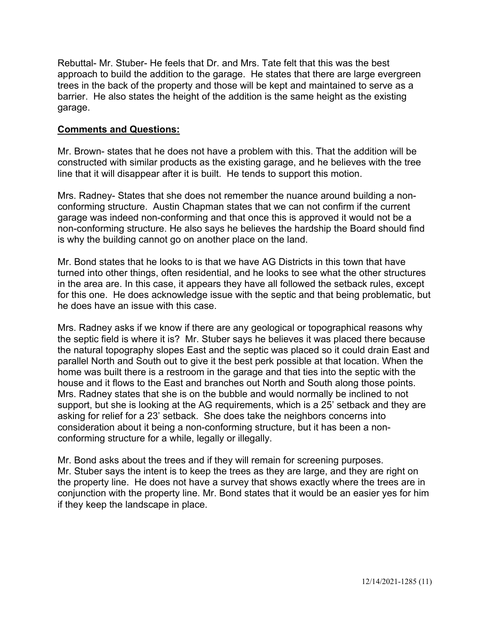Rebuttal- Mr. Stuber- He feels that Dr. and Mrs. Tate felt that this was the best approach to build the addition to the garage. He states that there are large evergreen trees in the back of the property and those will be kept and maintained to serve as a barrier. He also states the height of the addition is the same height as the existing garage.

## **Comments and Questions:**

Mr. Brown- states that he does not have a problem with this. That the addition will be constructed with similar products as the existing garage, and he believes with the tree line that it will disappear after it is built. He tends to support this motion.

Mrs. Radney- States that she does not remember the nuance around building a nonconforming structure. Austin Chapman states that we can not confirm if the current garage was indeed non-conforming and that once this is approved it would not be a non-conforming structure. He also says he believes the hardship the Board should find is why the building cannot go on another place on the land.

Mr. Bond states that he looks to is that we have AG Districts in this town that have turned into other things, often residential, and he looks to see what the other structures in the area are. In this case, it appears they have all followed the setback rules, except for this one. He does acknowledge issue with the septic and that being problematic, but he does have an issue with this case.

Mrs. Radney asks if we know if there are any geological or topographical reasons why the septic field is where it is? Mr. Stuber says he believes it was placed there because the natural topography slopes East and the septic was placed so it could drain East and parallel North and South out to give it the best perk possible at that location. When the home was built there is a restroom in the garage and that ties into the septic with the house and it flows to the East and branches out North and South along those points. Mrs. Radney states that she is on the bubble and would normally be inclined to not support, but she is looking at the AG requirements, which is a 25' setback and they are asking for relief for a 23' setback. She does take the neighbors concerns into consideration about it being a non-conforming structure, but it has been a nonconforming structure for a while, legally or illegally.

Mr. Bond asks about the trees and if they will remain for screening purposes. Mr. Stuber says the intent is to keep the trees as they are large, and they are right on the property line. He does not have a survey that shows exactly where the trees are in conjunction with the property line. Mr. Bond states that it would be an easier yes for him if they keep the landscape in place.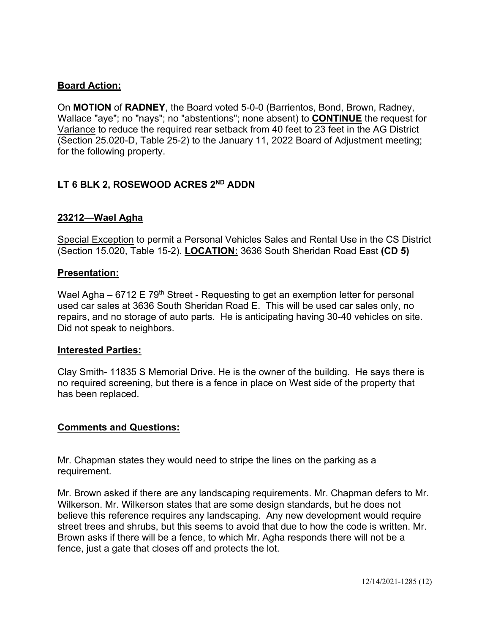# **Board Action:**

On **MOTION** of **RADNEY**, the Board voted 5-0-0 (Barrientos, Bond, Brown, Radney, Wallace "aye"; no "nays"; no "abstentions"; none absent) to **CONTINUE** the request for Variance to reduce the required rear setback from 40 feet to 23 feet in the AG District (Section 25.020-D, Table 25-2) to the January 11, 2022 Board of Adjustment meeting; for the following property.

# **LT 6 BLK 2, ROSEWOOD ACRES 2ND ADDN**

### **23212—Wael Agha**

Special Exception to permit a Personal Vehicles Sales and Rental Use in the CS District (Section 15.020, Table 15-2). **LOCATION:** 3636 South Sheridan Road East **(CD 5)** 

### **Presentation:**

Wael Agha –  $6712 \text{ E } 79$ <sup>th</sup> Street - Requesting to get an exemption letter for personal used car sales at 3636 South Sheridan Road E. This will be used car sales only, no repairs, and no storage of auto parts. He is anticipating having 30-40 vehicles on site. Did not speak to neighbors.

### **Interested Parties:**

Clay Smith- 11835 S Memorial Drive. He is the owner of the building. He says there is no required screening, but there is a fence in place on West side of the property that has been replaced.

## **Comments and Questions:**

Mr. Chapman states they would need to stripe the lines on the parking as a requirement.

Mr. Brown asked if there are any landscaping requirements. Mr. Chapman defers to Mr. Wilkerson. Mr. Wilkerson states that are some design standards, but he does not believe this reference requires any landscaping. Any new development would require street trees and shrubs, but this seems to avoid that due to how the code is written. Mr. Brown asks if there will be a fence, to which Mr. Agha responds there will not be a fence, just a gate that closes off and protects the lot.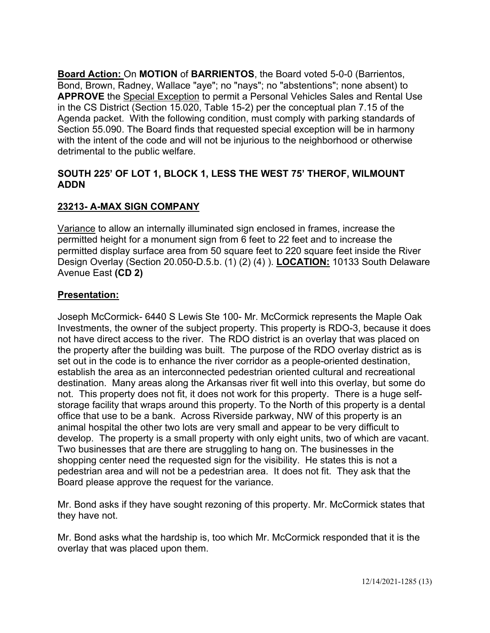**Board Action:** On **MOTION** of **BARRIENTOS**, the Board voted 5-0-0 (Barrientos, Bond, Brown, Radney, Wallace "aye"; no "nays"; no "abstentions"; none absent) to **APPROVE** the Special Exception to permit a Personal Vehicles Sales and Rental Use in the CS District (Section 15.020, Table 15-2) per the conceptual plan 7.15 of the Agenda packet. With the following condition, must comply with parking standards of Section 55.090. The Board finds that requested special exception will be in harmony with the intent of the code and will not be injurious to the neighborhood or otherwise detrimental to the public welfare.

## **SOUTH 225' OF LOT 1, BLOCK 1, LESS THE WEST 75' THEROF, WILMOUNT ADDN**

# **23213- A-MAX SIGN COMPANY**

Variance to allow an internally illuminated sign enclosed in frames, increase the permitted height for a monument sign from 6 feet to 22 feet and to increase the permitted display surface area from 50 square feet to 220 square feet inside the River Design Overlay (Section 20.050-D.5.b. (1) (2) (4) ). **LOCATION:** 10133 South Delaware Avenue East **(CD 2)** 

# **Presentation:**

Joseph McCormick- 6440 S Lewis Ste 100- Mr. McCormick represents the Maple Oak Investments, the owner of the subject property. This property is RDO-3, because it does not have direct access to the river. The RDO district is an overlay that was placed on the property after the building was built. The purpose of the RDO overlay district as is set out in the code is to enhance the river corridor as a people-oriented destination, establish the area as an interconnected pedestrian oriented cultural and recreational destination. Many areas along the Arkansas river fit well into this overlay, but some do not. This property does not fit, it does not work for this property. There is a huge selfstorage facility that wraps around this property. To the North of this property is a dental office that use to be a bank. Across Riverside parkway, NW of this property is an animal hospital the other two lots are very small and appear to be very difficult to develop. The property is a small property with only eight units, two of which are vacant. Two businesses that are there are struggling to hang on. The businesses in the shopping center need the requested sign for the visibility. He states this is not a pedestrian area and will not be a pedestrian area. It does not fit. They ask that the Board please approve the request for the variance.

Mr. Bond asks if they have sought rezoning of this property. Mr. McCormick states that they have not.

Mr. Bond asks what the hardship is, too which Mr. McCormick responded that it is the overlay that was placed upon them.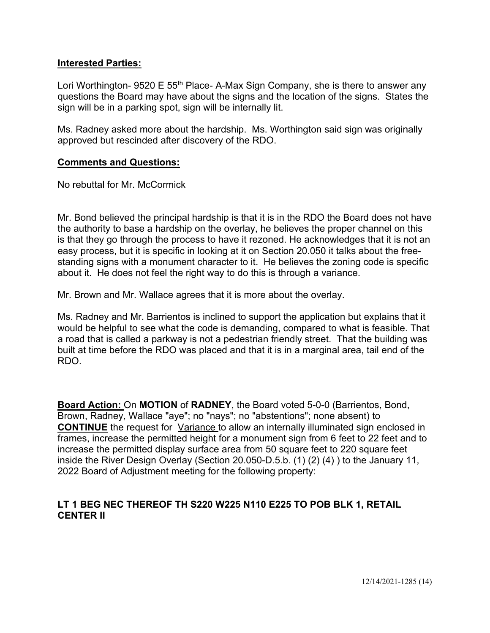### **Interested Parties:**

Lori Worthington- 9520 E 55<sup>th</sup> Place- A-Max Sign Company, she is there to answer any questions the Board may have about the signs and the location of the signs. States the sign will be in a parking spot, sign will be internally lit.

Ms. Radney asked more about the hardship. Ms. Worthington said sign was originally approved but rescinded after discovery of the RDO.

### **Comments and Questions:**

No rebuttal for Mr. McCormick

Mr. Bond believed the principal hardship is that it is in the RDO the Board does not have the authority to base a hardship on the overlay, he believes the proper channel on this is that they go through the process to have it rezoned. He acknowledges that it is not an easy process, but it is specific in looking at it on Section 20.050 it talks about the freestanding signs with a monument character to it. He believes the zoning code is specific about it. He does not feel the right way to do this is through a variance.

Mr. Brown and Mr. Wallace agrees that it is more about the overlay.

Ms. Radney and Mr. Barrientos is inclined to support the application but explains that it would be helpful to see what the code is demanding, compared to what is feasible. That a road that is called a parkway is not a pedestrian friendly street. That the building was built at time before the RDO was placed and that it is in a marginal area, tail end of the RDO.

**Board Action:** On **MOTION** of **RADNEY**, the Board voted 5-0-0 (Barrientos, Bond, Brown, Radney, Wallace "aye"; no "nays"; no "abstentions"; none absent) to **CONTINUE** the request for Variance to allow an internally illuminated sign enclosed in frames, increase the permitted height for a monument sign from 6 feet to 22 feet and to increase the permitted display surface area from 50 square feet to 220 square feet inside the River Design Overlay (Section 20.050-D.5.b. (1) (2) (4) ) to the January 11, 2022 Board of Adjustment meeting for the following property:

### **LT 1 BEG NEC THEREOF TH S220 W225 N110 E225 TO POB BLK 1, RETAIL CENTER II**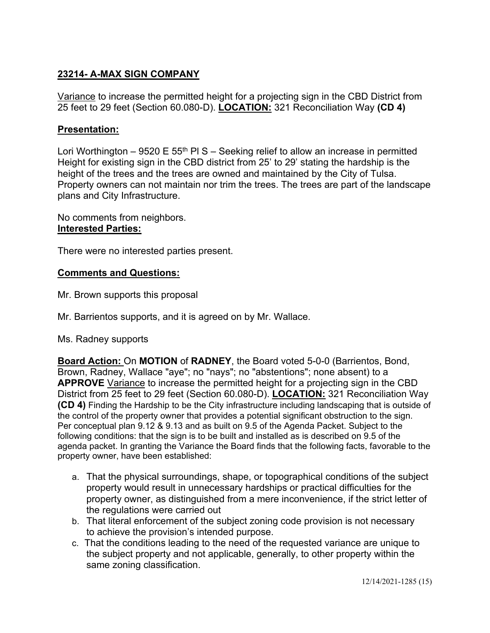# **23214- A-MAX SIGN COMPANY**

Variance to increase the permitted height for a projecting sign in the CBD District from 25 feet to 29 feet (Section 60.080-D). **LOCATION:** 321 Reconciliation Way **(CD 4)** 

## **Presentation:**

Lori Worthington – 9520 E 55<sup>th</sup> PI S – Seeking relief to allow an increase in permitted Height for existing sign in the CBD district from 25' to 29' stating the hardship is the height of the trees and the trees are owned and maintained by the City of Tulsa. Property owners can not maintain nor trim the trees. The trees are part of the landscape plans and City Infrastructure.

No comments from neighbors. **Interested Parties:**

There were no interested parties present.

### **Comments and Questions:**

- Mr. Brown supports this proposal
- Mr. Barrientos supports, and it is agreed on by Mr. Wallace.
- Ms. Radney supports

**Board Action:** On **MOTION** of **RADNEY**, the Board voted 5-0-0 (Barrientos, Bond, Brown, Radney, Wallace "aye"; no "nays"; no "abstentions"; none absent) to a **APPROVE** Variance to increase the permitted height for a projecting sign in the CBD District from 25 feet to 29 feet (Section 60.080-D). **LOCATION:** 321 Reconciliation Way **(CD 4)** Finding the Hardship to be the City infrastructure including landscaping that is outside of the control of the property owner that provides a potential significant obstruction to the sign. Per conceptual plan 9.12 & 9.13 and as built on 9.5 of the Agenda Packet. Subject to the following conditions: that the sign is to be built and installed as is described on 9.5 of the agenda packet. In granting the Variance the Board finds that the following facts, favorable to the property owner, have been established:

- a. That the physical surroundings, shape, or topographical conditions of the subject property would result in unnecessary hardships or practical difficulties for the property owner, as distinguished from a mere inconvenience, if the strict letter of the regulations were carried out
- b. That literal enforcement of the subject zoning code provision is not necessary to achieve the provision's intended purpose.
- c. That the conditions leading to the need of the requested variance are unique to the subject property and not applicable, generally, to other property within the same zoning classification.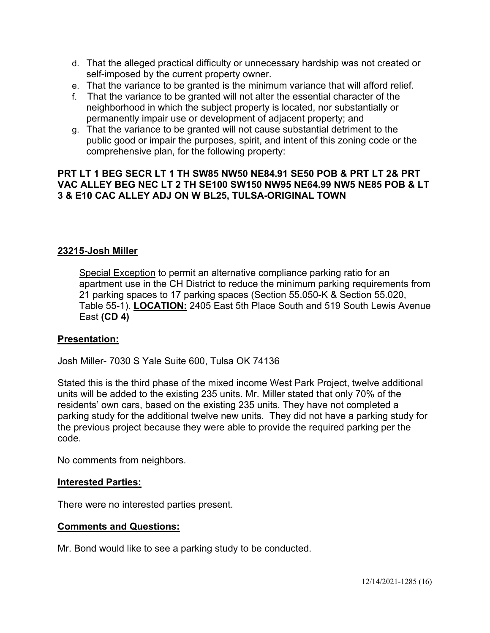- d. That the alleged practical difficulty or unnecessary hardship was not created or self-imposed by the current property owner.
- e. That the variance to be granted is the minimum variance that will afford relief.
- f. That the variance to be granted will not alter the essential character of the neighborhood in which the subject property is located, nor substantially or permanently impair use or development of adjacent property; and
- g. That the variance to be granted will not cause substantial detriment to the public good or impair the purposes, spirit, and intent of this zoning code or the comprehensive plan, for the following property:

## **PRT LT 1 BEG SECR LT 1 TH SW85 NW50 NE84.91 SE50 POB & PRT LT 2& PRT VAC ALLEY BEG NEC LT 2 TH SE100 SW150 NW95 NE64.99 NW5 NE85 POB & LT 3 & E10 CAC ALLEY ADJ ON W BL25, TULSA-ORIGINAL TOWN**

## **23215-Josh Miller**

Special Exception to permit an alternative compliance parking ratio for an apartment use in the CH District to reduce the minimum parking requirements from 21 parking spaces to 17 parking spaces (Section 55.050-K & Section 55.020, Table 55-1). **LOCATION:** 2405 East 5th Place South and 519 South Lewis Avenue East **(CD 4)** 

## **Presentation:**

Josh Miller- 7030 S Yale Suite 600, Tulsa OK 74136

Stated this is the third phase of the mixed income West Park Project, twelve additional units will be added to the existing 235 units. Mr. Miller stated that only 70% of the residents' own cars, based on the existing 235 units. They have not completed a parking study for the additional twelve new units. They did not have a parking study for the previous project because they were able to provide the required parking per the code.

No comments from neighbors.

### **Interested Parties:**

There were no interested parties present.

## **Comments and Questions:**

Mr. Bond would like to see a parking study to be conducted.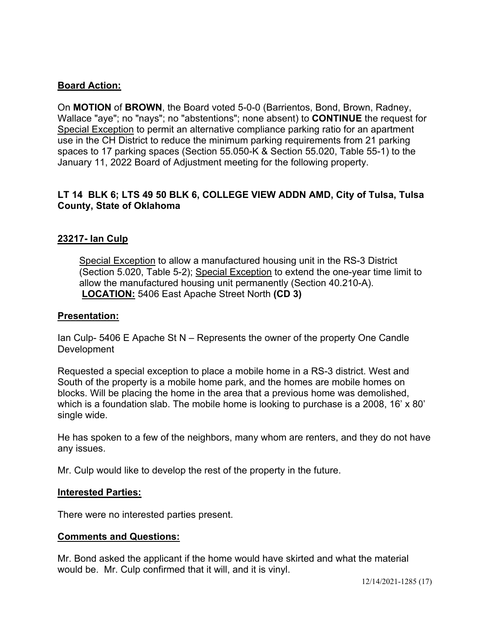## **Board Action:**

On **MOTION** of **BROWN**, the Board voted 5-0-0 (Barrientos, Bond, Brown, Radney, Wallace "aye"; no "nays"; no "abstentions"; none absent) to **CONTINUE** the request for Special Exception to permit an alternative compliance parking ratio for an apartment use in the CH District to reduce the minimum parking requirements from 21 parking spaces to 17 parking spaces (Section 55.050-K & Section 55.020, Table 55-1) to the January 11, 2022 Board of Adjustment meeting for the following property.

# **LT 14 BLK 6; LTS 49 50 BLK 6, COLLEGE VIEW ADDN AMD, City of Tulsa, Tulsa County, State of Oklahoma**

## **23217- Ian Culp**

Special Exception to allow a manufactured housing unit in the RS-3 District (Section 5.020, Table 5-2); Special Exception to extend the one-year time limit to allow the manufactured housing unit permanently (Section 40.210-A). **LOCATION:** 5406 East Apache Street North **(CD 3)** 

### **Presentation:**

Ian Culp- 5406 E Apache St N – Represents the owner of the property One Candle Development

Requested a special exception to place a mobile home in a RS-3 district. West and South of the property is a mobile home park, and the homes are mobile homes on blocks. Will be placing the home in the area that a previous home was demolished, which is a foundation slab. The mobile home is looking to purchase is a 2008, 16' x 80' single wide.

He has spoken to a few of the neighbors, many whom are renters, and they do not have any issues.

Mr. Culp would like to develop the rest of the property in the future.

### **Interested Parties:**

There were no interested parties present.

### **Comments and Questions:**

Mr. Bond asked the applicant if the home would have skirted and what the material would be. Mr. Culp confirmed that it will, and it is vinyl.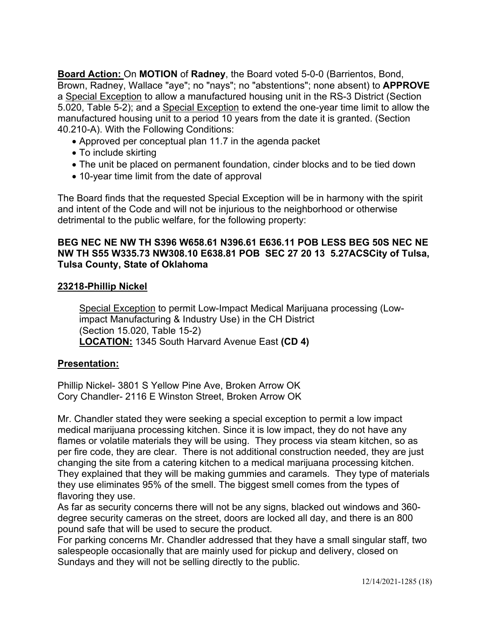**Board Action:** On **MOTION** of **Radney**, the Board voted 5-0-0 (Barrientos, Bond, Brown, Radney, Wallace "aye"; no "nays"; no "abstentions"; none absent) to **APPROVE**  a Special Exception to allow a manufactured housing unit in the RS-3 District (Section 5.020, Table 5-2); and a Special Exception to extend the one-year time limit to allow the manufactured housing unit to a period 10 years from the date it is granted. (Section 40.210-A). With the Following Conditions:

- Approved per conceptual plan 11.7 in the agenda packet
- To include skirting
- The unit be placed on permanent foundation, cinder blocks and to be tied down
- 10-year time limit from the date of approval

The Board finds that the requested Special Exception will be in harmony with the spirit and intent of the Code and will not be injurious to the neighborhood or otherwise detrimental to the public welfare, for the following property:

### **BEG NEC NE NW TH S396 W658.61 N396.61 E636.11 POB LESS BEG 50S NEC NE NW TH S55 W335.73 NW308.10 E638.81 POB SEC 27 20 13 5.27ACSCity of Tulsa, Tulsa County, State of Oklahoma**

## **23218-Phillip Nickel**

Special Exception to permit Low-Impact Medical Marijuana processing (Lowimpact Manufacturing & Industry Use) in the CH District (Section 15.020, Table 15-2) **LOCATION:** 1345 South Harvard Avenue East **(CD 4)** 

## **Presentation:**

Phillip Nickel- 3801 S Yellow Pine Ave, Broken Arrow OK Cory Chandler- 2116 E Winston Street, Broken Arrow OK

Mr. Chandler stated they were seeking a special exception to permit a low impact medical marijuana processing kitchen. Since it is low impact, they do not have any flames or volatile materials they will be using. They process via steam kitchen, so as per fire code, they are clear. There is not additional construction needed, they are just changing the site from a catering kitchen to a medical marijuana processing kitchen. They explained that they will be making gummies and caramels. They type of materials they use eliminates 95% of the smell. The biggest smell comes from the types of flavoring they use.

As far as security concerns there will not be any signs, blacked out windows and 360 degree security cameras on the street, doors are locked all day, and there is an 800 pound safe that will be used to secure the product.

For parking concerns Mr. Chandler addressed that they have a small singular staff, two salespeople occasionally that are mainly used for pickup and delivery, closed on Sundays and they will not be selling directly to the public.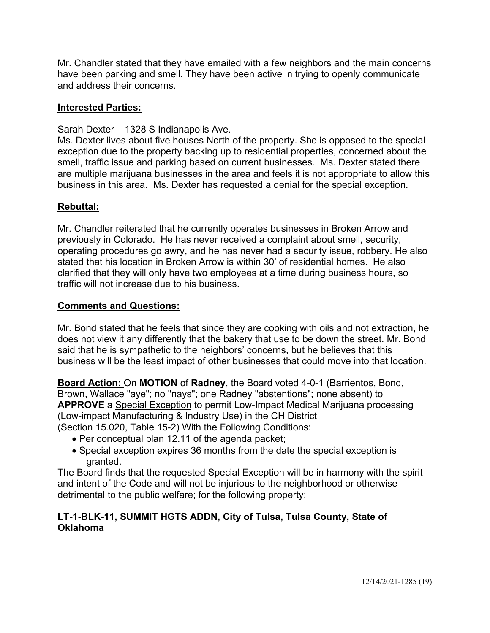Mr. Chandler stated that they have emailed with a few neighbors and the main concerns have been parking and smell. They have been active in trying to openly communicate and address their concerns.

## **Interested Parties:**

Sarah Dexter – 1328 S Indianapolis Ave.

Ms. Dexter lives about five houses North of the property. She is opposed to the special exception due to the property backing up to residential properties, concerned about the smell, traffic issue and parking based on current businesses. Ms. Dexter stated there are multiple marijuana businesses in the area and feels it is not appropriate to allow this business in this area. Ms. Dexter has requested a denial for the special exception.

## **Rebuttal:**

Mr. Chandler reiterated that he currently operates businesses in Broken Arrow and previously in Colorado. He has never received a complaint about smell, security, operating procedures go awry, and he has never had a security issue, robbery. He also stated that his location in Broken Arrow is within 30' of residential homes. He also clarified that they will only have two employees at a time during business hours, so traffic will not increase due to his business.

## **Comments and Questions:**

Mr. Bond stated that he feels that since they are cooking with oils and not extraction, he does not view it any differently that the bakery that use to be down the street. Mr. Bond said that he is sympathetic to the neighbors' concerns, but he believes that this business will be the least impact of other businesses that could move into that location.

**Board Action:** On **MOTION** of **Radney**, the Board voted 4-0-1 (Barrientos, Bond, Brown, Wallace "aye"; no "nays"; one Radney "abstentions"; none absent) to **APPROVE** a Special Exception to permit Low-Impact Medical Marijuana processing (Low-impact Manufacturing & Industry Use) in the CH District (Section 15.020, Table 15-2) With the Following Conditions:

- Per conceptual plan 12.11 of the agenda packet;
- Special exception expires 36 months from the date the special exception is granted.

The Board finds that the requested Special Exception will be in harmony with the spirit and intent of the Code and will not be injurious to the neighborhood or otherwise detrimental to the public welfare; for the following property:

# **LT-1-BLK-11, SUMMIT HGTS ADDN, City of Tulsa, Tulsa County, State of Oklahoma**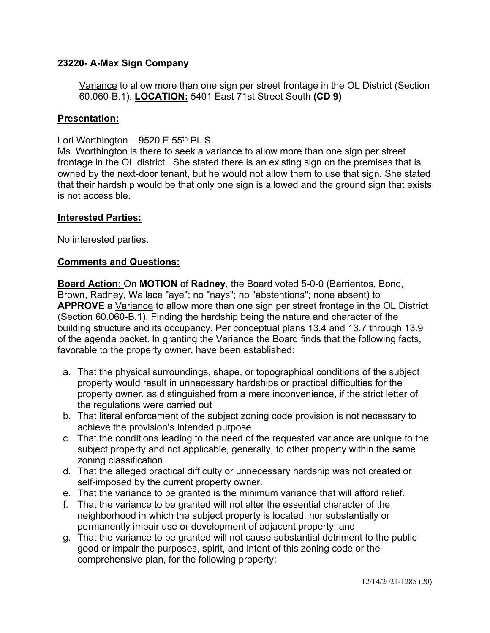## **23220- A-Max Sign Company**

Variance to allow more than one sign per street frontage in the OL District (Section 60.060-B.1). **LOCATION:** 5401 East 71st Street South **(CD 9)** 

### **Presentation:**

Lori Worthington – 9520 E  $55<sup>th</sup>$  Pl. S.

Ms. Worthington is there to seek a variance to allow more than one sign per street frontage in the OL district. She stated there is an existing sign on the premises that is owned by the next-door tenant, but he would not allow them to use that sign. She stated that their hardship would be that only one sign is allowed and the ground sign that exists is not accessible.

### **Interested Parties:**

No interested parties.

### **Comments and Questions:**

**Board Action:** On **MOTION** of **Radney**, the Board voted 5-0-0 (Barrientos, Bond, Brown, Radney, Wallace "aye"; no "nays"; no "abstentions"; none absent) to **APPROVE** a Variance to allow more than one sign per street frontage in the OL District (Section 60.060-B.1). Finding the hardship being the nature and character of the building structure and its occupancy. Per conceptual plans 13.4 and 13.7 through 13.9 of the agenda packet. In granting the Variance the Board finds that the following facts, favorable to the property owner, have been established:

- a. That the physical surroundings, shape, or topographical conditions of the subject property would result in unnecessary hardships or practical difficulties for the property owner, as distinguished from a mere inconvenience, if the strict letter of the regulations were carried out
- b. That literal enforcement of the subject zoning code provision is not necessary to achieve the provision's intended purpose
- c. That the conditions leading to the need of the requested variance are unique to the subject property and not applicable, generally, to other property within the same zoning classification
- d. That the alleged practical difficulty or unnecessary hardship was not created or self-imposed by the current property owner.
- e. That the variance to be granted is the minimum variance that will afford relief.
- f. That the variance to be granted will not alter the essential character of the neighborhood in which the subject property is located, nor substantially or permanently impair use or development of adjacent property; and
- g. That the variance to be granted will not cause substantial detriment to the public good or impair the purposes, spirit, and intent of this zoning code or the comprehensive plan, for the following property: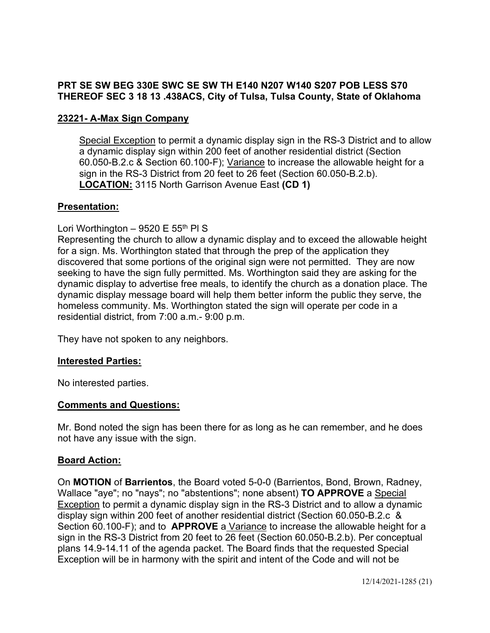## **PRT SE SW BEG 330E SWC SE SW TH E140 N207 W140 S207 POB LESS S70 THEREOF SEC 3 18 13 .438ACS, City of Tulsa, Tulsa County, State of Oklahoma**

## **23221- A-Max Sign Company**

Special Exception to permit a dynamic display sign in the RS-3 District and to allow a dynamic display sign within 200 feet of another residential district (Section 60.050-B.2.c & Section 60.100-F); Variance to increase the allowable height for a sign in the RS-3 District from 20 feet to 26 feet (Section 60.050-B.2.b). **LOCATION:** 3115 North Garrison Avenue East **(CD 1)** 

## **Presentation:**

## Lori Worthington – 9520 E 55<sup>th</sup> PI S

Representing the church to allow a dynamic display and to exceed the allowable height for a sign. Ms. Worthington stated that through the prep of the application they discovered that some portions of the original sign were not permitted. They are now seeking to have the sign fully permitted. Ms. Worthington said they are asking for the dynamic display to advertise free meals, to identify the church as a donation place. The dynamic display message board will help them better inform the public they serve, the homeless community. Ms. Worthington stated the sign will operate per code in a residential district, from 7:00 a.m.- 9:00 p.m.

They have not spoken to any neighbors.

## **Interested Parties:**

No interested parties.

## **Comments and Questions:**

Mr. Bond noted the sign has been there for as long as he can remember, and he does not have any issue with the sign.

## **Board Action:**

On **MOTION** of **Barrientos**, the Board voted 5-0-0 (Barrientos, Bond, Brown, Radney, Wallace "aye"; no "nays"; no "abstentions"; none absent) **TO APPROVE** a Special Exception to permit a dynamic display sign in the RS-3 District and to allow a dynamic display sign within 200 feet of another residential district (Section 60.050-B.2.c & Section 60.100-F); and to **APPROVE** a Variance to increase the allowable height for a sign in the RS-3 District from 20 feet to 26 feet (Section 60.050-B.2.b). Per conceptual plans 14.9-14.11 of the agenda packet. The Board finds that the requested Special Exception will be in harmony with the spirit and intent of the Code and will not be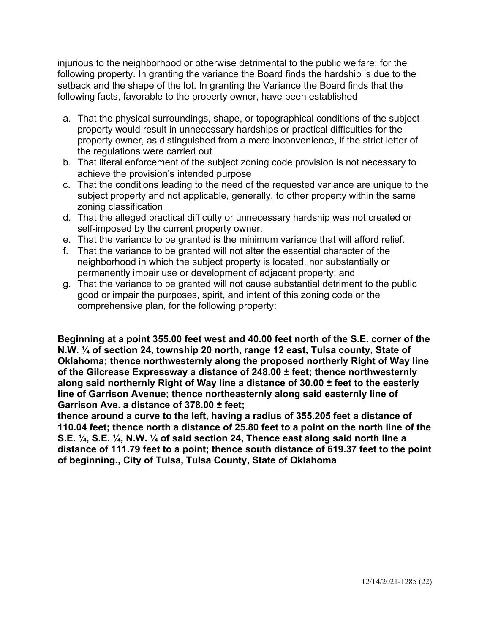injurious to the neighborhood or otherwise detrimental to the public welfare; for the following property. In granting the variance the Board finds the hardship is due to the setback and the shape of the lot. In granting the Variance the Board finds that the following facts, favorable to the property owner, have been established

- a. That the physical surroundings, shape, or topographical conditions of the subject property would result in unnecessary hardships or practical difficulties for the property owner, as distinguished from a mere inconvenience, if the strict letter of the regulations were carried out
- b. That literal enforcement of the subject zoning code provision is not necessary to achieve the provision's intended purpose
- c. That the conditions leading to the need of the requested variance are unique to the subject property and not applicable, generally, to other property within the same zoning classification
- d. That the alleged practical difficulty or unnecessary hardship was not created or self-imposed by the current property owner.
- e. That the variance to be granted is the minimum variance that will afford relief.
- f. That the variance to be granted will not alter the essential character of the neighborhood in which the subject property is located, nor substantially or permanently impair use or development of adjacent property; and
- g. That the variance to be granted will not cause substantial detriment to the public good or impair the purposes, spirit, and intent of this zoning code or the comprehensive plan, for the following property:

**Beginning at a point 355.00 feet west and 40.00 feet north of the S.E. corner of the N.W. ¼ of section 24, township 20 north, range 12 east, Tulsa county, State of Oklahoma; thence northwesternly along the proposed northerly Right of Way line of the Gilcrease Expressway a distance of 248.00 ± feet; thence northwesternly along said northernly Right of Way line a distance of 30.00 ± feet to the easterly line of Garrison Avenue; thence northeasternly along said easternly line of Garrison Ave. a distance of 378.00 ± feet;** 

**thence around a curve to the left, having a radius of 355.205 feet a distance of 110.04 feet; thence north a distance of 25.80 feet to a point on the north line of the S.E. ¼, S.E. ¼, N.W. ¼ of said section 24, Thence east along said north line a distance of 111.79 feet to a point; thence south distance of 619.37 feet to the point of beginning., City of Tulsa, Tulsa County, State of Oklahoma**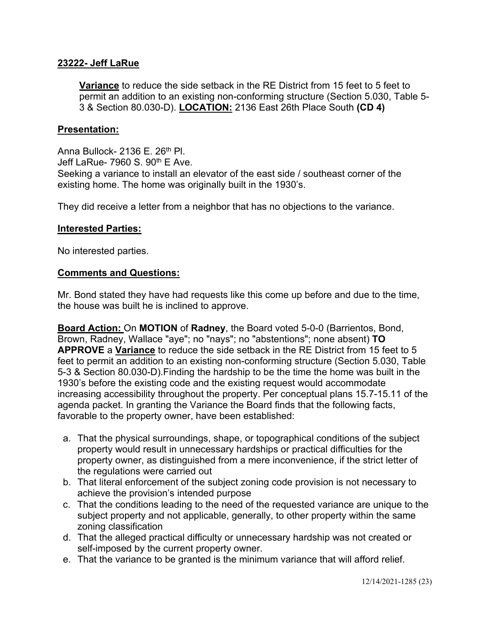### **23222- Jeff LaRue**

**Variance** to reduce the side setback in the RE District from 15 feet to 5 feet to permit an addition to an existing non-conforming structure (Section 5.030, Table 5- 3 & Section 80.030-D). **LOCATION:** 2136 East 26th Place South **(CD 4)** 

### **Presentation:**

Anna Bullock- 2136 E. 26<sup>th</sup> Pl. Jeff LaRue- 7960 S. 90<sup>th</sup> E Ave. Seeking a variance to install an elevator of the east side / southeast corner of the existing home. The home was originally built in the 1930's.

They did receive a letter from a neighbor that has no objections to the variance.

### **Interested Parties:**

No interested parties.

### **Comments and Questions:**

Mr. Bond stated they have had requests like this come up before and due to the time, the house was built he is inclined to approve.

**Board Action:** On **MOTION** of **Radney**, the Board voted 5-0-0 (Barrientos, Bond, Brown, Radney, Wallace "aye"; no "nays"; no "abstentions"; none absent) **TO APPROVE** a **Variance** to reduce the side setback in the RE District from 15 feet to 5 feet to permit an addition to an existing non-conforming structure (Section 5.030, Table 5-3 & Section 80.030-D).Finding the hardship to be the time the home was built in the 1930's before the existing code and the existing request would accommodate increasing accessibility throughout the property. Per conceptual plans 15.7-15.11 of the agenda packet. In granting the Variance the Board finds that the following facts, favorable to the property owner, have been established:

- a. That the physical surroundings, shape, or topographical conditions of the subject property would result in unnecessary hardships or practical difficulties for the property owner, as distinguished from a mere inconvenience, if the strict letter of the regulations were carried out
- b. That literal enforcement of the subject zoning code provision is not necessary to achieve the provision's intended purpose
- c. That the conditions leading to the need of the requested variance are unique to the subject property and not applicable, generally, to other property within the same zoning classification
- d. That the alleged practical difficulty or unnecessary hardship was not created or self-imposed by the current property owner.
- e. That the variance to be granted is the minimum variance that will afford relief.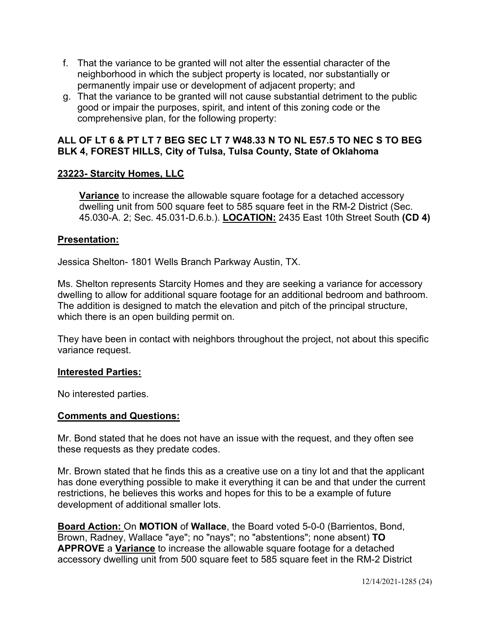- f. That the variance to be granted will not alter the essential character of the neighborhood in which the subject property is located, nor substantially or permanently impair use or development of adjacent property; and
- g. That the variance to be granted will not cause substantial detriment to the public good or impair the purposes, spirit, and intent of this zoning code or the comprehensive plan, for the following property:

## **ALL OF LT 6 & PT LT 7 BEG SEC LT 7 W48.33 N TO NL E57.5 TO NEC S TO BEG BLK 4, FOREST HILLS, City of Tulsa, Tulsa County, State of Oklahoma**

## **23223- Starcity Homes, LLC**

**Variance** to increase the allowable square footage for a detached accessory dwelling unit from 500 square feet to 585 square feet in the RM-2 District (Sec. 45.030-A. 2; Sec. 45.031-D.6.b.). **LOCATION:** 2435 East 10th Street South **(CD 4)** 

## **Presentation:**

Jessica Shelton- 1801 Wells Branch Parkway Austin, TX.

Ms. Shelton represents Starcity Homes and they are seeking a variance for accessory dwelling to allow for additional square footage for an additional bedroom and bathroom. The addition is designed to match the elevation and pitch of the principal structure, which there is an open building permit on.

They have been in contact with neighbors throughout the project, not about this specific variance request.

## **Interested Parties:**

No interested parties.

## **Comments and Questions:**

Mr. Bond stated that he does not have an issue with the request, and they often see these requests as they predate codes.

Mr. Brown stated that he finds this as a creative use on a tiny lot and that the applicant has done everything possible to make it everything it can be and that under the current restrictions, he believes this works and hopes for this to be a example of future development of additional smaller lots.

**Board Action:** On **MOTION** of **Wallace**, the Board voted 5-0-0 (Barrientos, Bond, Brown, Radney, Wallace "aye"; no "nays"; no "abstentions"; none absent) **TO APPROVE** a **Variance** to increase the allowable square footage for a detached accessory dwelling unit from 500 square feet to 585 square feet in the RM-2 District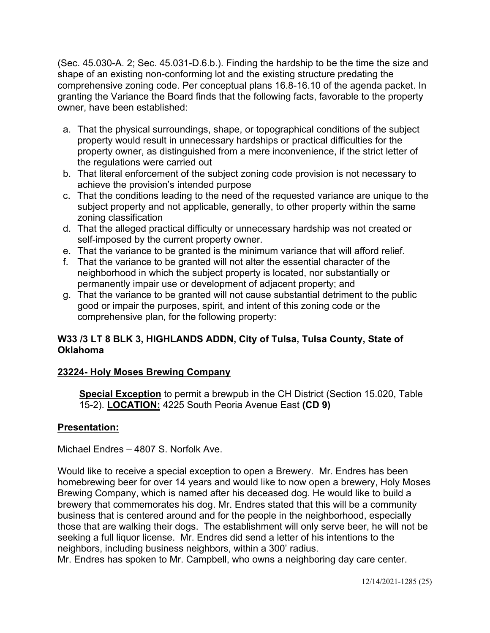(Sec. 45.030-A. 2; Sec. 45.031-D.6.b.). Finding the hardship to be the time the size and shape of an existing non-conforming lot and the existing structure predating the comprehensive zoning code. Per conceptual plans 16.8-16.10 of the agenda packet. In granting the Variance the Board finds that the following facts, favorable to the property owner, have been established:

- a. That the physical surroundings, shape, or topographical conditions of the subject property would result in unnecessary hardships or practical difficulties for the property owner, as distinguished from a mere inconvenience, if the strict letter of the regulations were carried out
- b. That literal enforcement of the subject zoning code provision is not necessary to achieve the provision's intended purpose
- c. That the conditions leading to the need of the requested variance are unique to the subject property and not applicable, generally, to other property within the same zoning classification
- d. That the alleged practical difficulty or unnecessary hardship was not created or self-imposed by the current property owner.
- e. That the variance to be granted is the minimum variance that will afford relief.
- f. That the variance to be granted will not alter the essential character of the neighborhood in which the subject property is located, nor substantially or permanently impair use or development of adjacent property; and
- g. That the variance to be granted will not cause substantial detriment to the public good or impair the purposes, spirit, and intent of this zoning code or the comprehensive plan, for the following property:

# **W33 /3 LT 8 BLK 3, HIGHLANDS ADDN, City of Tulsa, Tulsa County, State of Oklahoma**

# **23224- Holy Moses Brewing Company**

**Special Exception** to permit a brewpub in the CH District (Section 15.020, Table 15-2). **LOCATION:** 4225 South Peoria Avenue East **(CD 9)** 

# **Presentation:**

Michael Endres – 4807 S. Norfolk Ave.

Would like to receive a special exception to open a Brewery. Mr. Endres has been homebrewing beer for over 14 years and would like to now open a brewery, Holy Moses Brewing Company, which is named after his deceased dog. He would like to build a brewery that commemorates his dog. Mr. Endres stated that this will be a community business that is centered around and for the people in the neighborhood, especially those that are walking their dogs. The establishment will only serve beer, he will not be seeking a full liquor license. Mr. Endres did send a letter of his intentions to the neighbors, including business neighbors, within a 300' radius.

Mr. Endres has spoken to Mr. Campbell, who owns a neighboring day care center.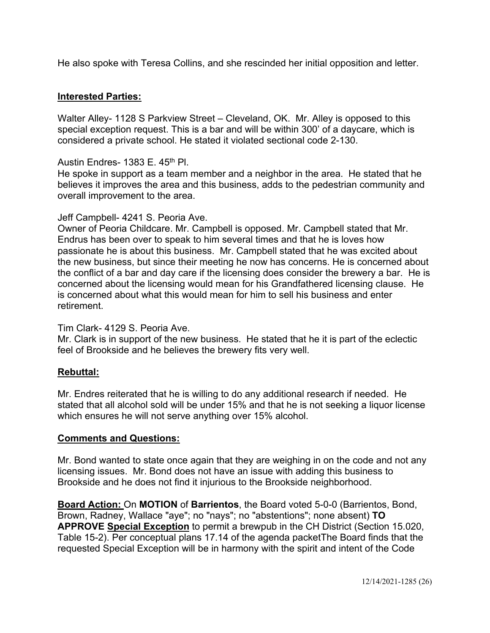He also spoke with Teresa Collins, and she rescinded her initial opposition and letter.

## **Interested Parties:**

Walter Alley- 1128 S Parkview Street – Cleveland, OK. Mr. Alley is opposed to this special exception request. This is a bar and will be within 300' of a daycare, which is considered a private school. He stated it violated sectional code 2-130.

Austin Endres- 1383 E. 45<sup>th</sup> Pl.

He spoke in support as a team member and a neighbor in the area. He stated that he believes it improves the area and this business, adds to the pedestrian community and overall improvement to the area.

### Jeff Campbell- 4241 S. Peoria Ave.

Owner of Peoria Childcare. Mr. Campbell is opposed. Mr. Campbell stated that Mr. Endrus has been over to speak to him several times and that he is loves how passionate he is about this business. Mr. Campbell stated that he was excited about the new business, but since their meeting he now has concerns. He is concerned about the conflict of a bar and day care if the licensing does consider the brewery a bar. He is concerned about the licensing would mean for his Grandfathered licensing clause. He is concerned about what this would mean for him to sell his business and enter retirement.

### Tim Clark- 4129 S. Peoria Ave.

Mr. Clark is in support of the new business. He stated that he it is part of the eclectic feel of Brookside and he believes the brewery fits very well.

## **Rebuttal:**

Mr. Endres reiterated that he is willing to do any additional research if needed. He stated that all alcohol sold will be under 15% and that he is not seeking a liquor license which ensures he will not serve anything over 15% alcohol.

## **Comments and Questions:**

Mr. Bond wanted to state once again that they are weighing in on the code and not any licensing issues. Mr. Bond does not have an issue with adding this business to Brookside and he does not find it injurious to the Brookside neighborhood.

**Board Action:** On **MOTION** of **Barrientos**, the Board voted 5-0-0 (Barrientos, Bond, Brown, Radney, Wallace "aye"; no "nays"; no "abstentions"; none absent) **TO APPROVE Special Exception** to permit a brewpub in the CH District (Section 15.020, Table 15-2). Per conceptual plans 17.14 of the agenda packetThe Board finds that the requested Special Exception will be in harmony with the spirit and intent of the Code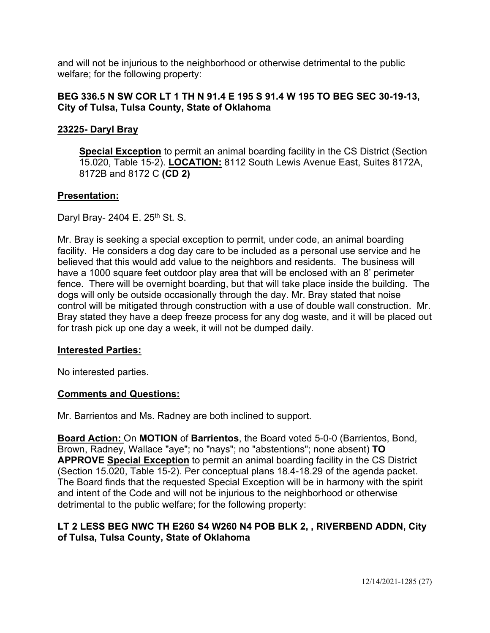and will not be injurious to the neighborhood or otherwise detrimental to the public welfare; for the following property:

## **BEG 336.5 N SW COR LT 1 TH N 91.4 E 195 S 91.4 W 195 TO BEG SEC 30-19-13, City of Tulsa, Tulsa County, State of Oklahoma**

## **23225- Daryl Bray**

**Special Exception** to permit an animal boarding facility in the CS District (Section 15.020, Table 15-2). **LOCATION:** 8112 South Lewis Avenue East, Suites 8172A, 8172B and 8172 C **(CD 2)** 

## **Presentation:**

Daryl Bray- 2404 E. 25<sup>th</sup> St. S.

Mr. Bray is seeking a special exception to permit, under code, an animal boarding facility. He considers a dog day care to be included as a personal use service and he believed that this would add value to the neighbors and residents. The business will have a 1000 square feet outdoor play area that will be enclosed with an 8' perimeter fence. There will be overnight boarding, but that will take place inside the building. The dogs will only be outside occasionally through the day. Mr. Bray stated that noise control will be mitigated through construction with a use of double wall construction. Mr. Bray stated they have a deep freeze process for any dog waste, and it will be placed out for trash pick up one day a week, it will not be dumped daily.

## **Interested Parties:**

No interested parties.

## **Comments and Questions:**

Mr. Barrientos and Ms. Radney are both inclined to support.

**Board Action:** On **MOTION** of **Barrientos**, the Board voted 5-0-0 (Barrientos, Bond, Brown, Radney, Wallace "aye"; no "nays"; no "abstentions"; none absent) **TO APPROVE Special Exception** to permit an animal boarding facility in the CS District (Section 15.020, Table 15-2). Per conceptual plans 18.4-18.29 of the agenda packet. The Board finds that the requested Special Exception will be in harmony with the spirit and intent of the Code and will not be injurious to the neighborhood or otherwise detrimental to the public welfare; for the following property:

## **LT 2 LESS BEG NWC TH E260 S4 W260 N4 POB BLK 2, , RIVERBEND ADDN, City of Tulsa, Tulsa County, State of Oklahoma**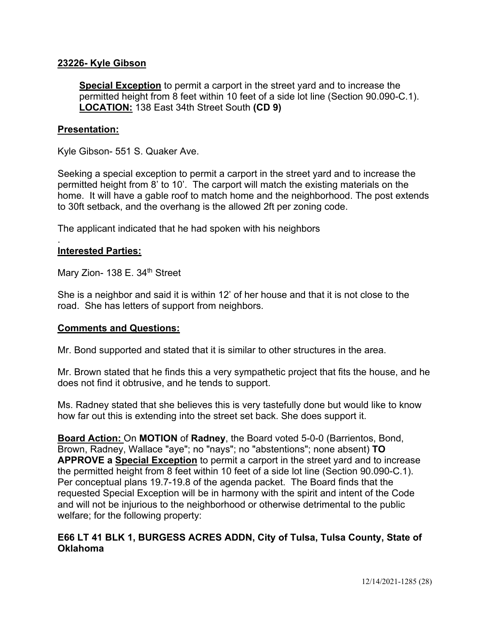### **23226- Kyle Gibson**

**Special Exception** to permit a carport in the street yard and to increase the permitted height from 8 feet within 10 feet of a side lot line (Section 90.090-C.1). **LOCATION:** 138 East 34th Street South **(CD 9)** 

### **Presentation:**

Kyle Gibson- 551 S. Quaker Ave.

Seeking a special exception to permit a carport in the street yard and to increase the permitted height from 8' to 10'. The carport will match the existing materials on the home. It will have a gable roof to match home and the neighborhood. The post extends to 30ft setback, and the overhang is the allowed 2ft per zoning code.

The applicant indicated that he had spoken with his neighbors

### **Interested Parties:**

.

Mary Zion- 138 E. 34<sup>th</sup> Street

She is a neighbor and said it is within 12' of her house and that it is not close to the road. She has letters of support from neighbors.

### **Comments and Questions:**

Mr. Bond supported and stated that it is similar to other structures in the area.

Mr. Brown stated that he finds this a very sympathetic project that fits the house, and he does not find it obtrusive, and he tends to support.

Ms. Radney stated that she believes this is very tastefully done but would like to know how far out this is extending into the street set back. She does support it.

**Board Action:** On **MOTION** of **Radney**, the Board voted 5-0-0 (Barrientos, Bond, Brown, Radney, Wallace "aye"; no "nays"; no "abstentions"; none absent) **TO APPROVE a Special Exception** to permit a carport in the street yard and to increase the permitted height from 8 feet within 10 feet of a side lot line (Section 90.090-C.1). Per conceptual plans 19.7-19.8 of the agenda packet. The Board finds that the requested Special Exception will be in harmony with the spirit and intent of the Code and will not be injurious to the neighborhood or otherwise detrimental to the public welfare; for the following property:

## **E66 LT 41 BLK 1, BURGESS ACRES ADDN, City of Tulsa, Tulsa County, State of Oklahoma**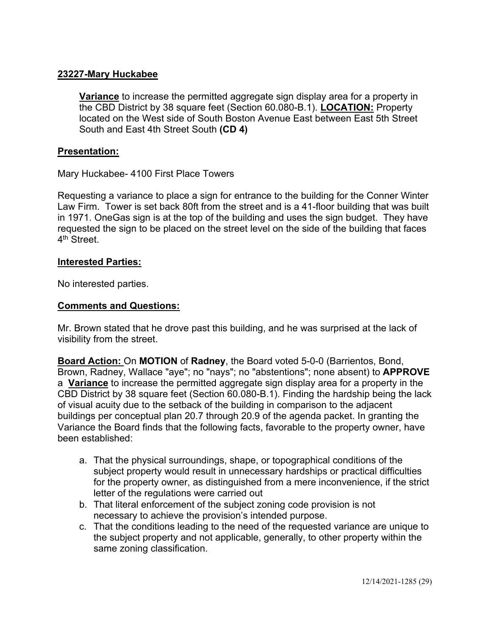## **23227-Mary Huckabee**

**Variance** to increase the permitted aggregate sign display area for a property in the CBD District by 38 square feet (Section 60.080-B.1). **LOCATION:** Property located on the West side of South Boston Avenue East between East 5th Street South and East 4th Street South **(CD 4)** 

### **Presentation:**

Mary Huckabee- 4100 First Place Towers

Requesting a variance to place a sign for entrance to the building for the Conner Winter Law Firm. Tower is set back 80ft from the street and is a 41-floor building that was built in 1971. OneGas sign is at the top of the building and uses the sign budget. They have requested the sign to be placed on the street level on the side of the building that faces 4<sup>th</sup> Street

### **Interested Parties:**

No interested parties.

### **Comments and Questions:**

Mr. Brown stated that he drove past this building, and he was surprised at the lack of visibility from the street.

**Board Action:** On **MOTION** of **Radney**, the Board voted 5-0-0 (Barrientos, Bond, Brown, Radney, Wallace "aye"; no "nays"; no "abstentions"; none absent) to **APPROVE**  a **Variance** to increase the permitted aggregate sign display area for a property in the CBD District by 38 square feet (Section 60.080-B.1). Finding the hardship being the lack of visual acuity due to the setback of the building in comparison to the adjacent buildings per conceptual plan 20.7 through 20.9 of the agenda packet. In granting the Variance the Board finds that the following facts, favorable to the property owner, have been established:

- a. That the physical surroundings, shape, or topographical conditions of the subject property would result in unnecessary hardships or practical difficulties for the property owner, as distinguished from a mere inconvenience, if the strict letter of the regulations were carried out
- b. That literal enforcement of the subject zoning code provision is not necessary to achieve the provision's intended purpose.
- c. That the conditions leading to the need of the requested variance are unique to the subject property and not applicable, generally, to other property within the same zoning classification.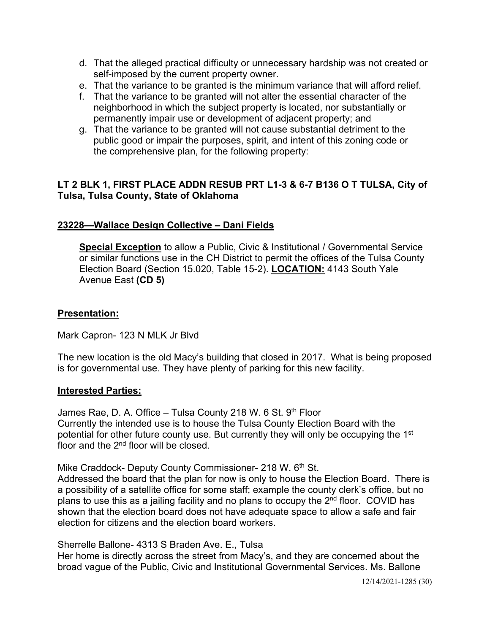- d. That the alleged practical difficulty or unnecessary hardship was not created or self-imposed by the current property owner.
- e. That the variance to be granted is the minimum variance that will afford relief.
- f. That the variance to be granted will not alter the essential character of the neighborhood in which the subject property is located, nor substantially or permanently impair use or development of adjacent property; and
- g. That the variance to be granted will not cause substantial detriment to the public good or impair the purposes, spirit, and intent of this zoning code or the comprehensive plan, for the following property:

# **LT 2 BLK 1, FIRST PLACE ADDN RESUB PRT L1-3 & 6-7 B136 O T TULSA, City of Tulsa, Tulsa County, State of Oklahoma**

## **23228—Wallace Design Collective – Dani Fields**

**Special Exception** to allow a Public, Civic & Institutional / Governmental Service or similar functions use in the CH District to permit the offices of the Tulsa County Election Board (Section 15.020, Table 15-2). **LOCATION:** 4143 South Yale Avenue East **(CD 5)** 

## **Presentation:**

Mark Capron- 123 N MLK Jr Blvd

The new location is the old Macy's building that closed in 2017. What is being proposed is for governmental use. They have plenty of parking for this new facility.

## **Interested Parties:**

James Rae, D. A. Office – Tulsa County 218 W. 6 St.  $9<sup>th</sup>$  Floor Currently the intended use is to house the Tulsa County Election Board with the potential for other future county use. But currently they will only be occupying the 1<sup>st</sup> floor and the 2<sup>nd</sup> floor will be closed.

Mike Craddock- Deputy County Commissioner- 218 W. 6th St.

Addressed the board that the plan for now is only to house the Election Board. There is a possibility of a satellite office for some staff; example the county clerk's office, but no plans to use this as a jailing facility and no plans to occupy the  $2<sup>nd</sup>$  floor. COVID has shown that the election board does not have adequate space to allow a safe and fair election for citizens and the election board workers.

Sherrelle Ballone- 4313 S Braden Ave. E., Tulsa

Her home is directly across the street from Macy's, and they are concerned about the broad vague of the Public, Civic and Institutional Governmental Services. Ms. Ballone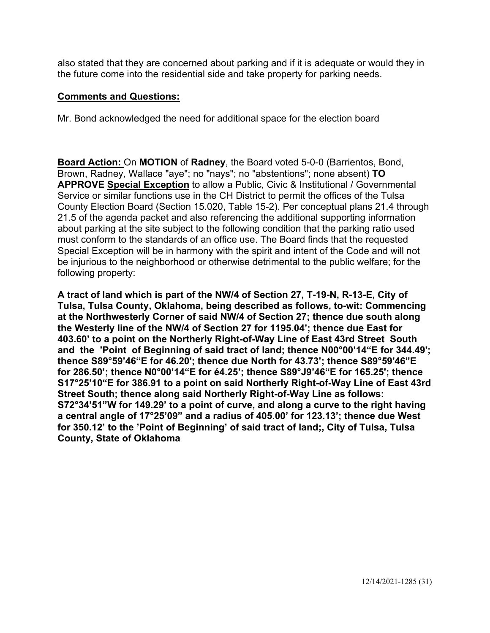also stated that they are concerned about parking and if it is adequate or would they in the future come into the residential side and take property for parking needs.

## **Comments and Questions:**

Mr. Bond acknowledged the need for additional space for the election board

**Board Action:** On **MOTION** of **Radney**, the Board voted 5-0-0 (Barrientos, Bond, Brown, Radney, Wallace "aye"; no "nays"; no "abstentions"; none absent) **TO APPROVE Special Exception** to allow a Public, Civic & Institutional / Governmental Service or similar functions use in the CH District to permit the offices of the Tulsa County Election Board (Section 15.020, Table 15-2). Per conceptual plans 21.4 through 21.5 of the agenda packet and also referencing the additional supporting information about parking at the site subject to the following condition that the parking ratio used must conform to the standards of an office use. The Board finds that the requested Special Exception will be in harmony with the spirit and intent of the Code and will not be injurious to the neighborhood or otherwise detrimental to the public welfare; for the following property:

**A tract of land which is part of the NW/4 of Section 27, T-19-N, R-13-E, City of Tulsa, Tulsa County, Oklahoma, being described as follows, to-wit: Commencing at the Northwesterly Corner of said NW/4 of Section 27; thence due south along the Westerly line of the NW/4 of Section 27 for 1195.04'; thence due East for 403.60' to a point on the Northerly Right-of-Way Line of East 43rd Street South and the 'Point of Beginning of said tract of land; thence N00°00'14"E for 344.49'; thence S89°59'46"E for 46.20'; thence due North for 43.73'; thence S89°59'46"E for 286.50'; thence N0°00'14"E for é4.25'; thence S89°J9'46"E for 165.25'; thence S17°25'10"E for 386.91 to a point on said Northerly Right-of-Way Line of East 43rd Street South; thence along said Northerly Right-of-Way Line as follows: S72°34'51"W for 149.29' to a point of curve, and along a curve to the right having a central angle of 17°25'09" and a radius of 405.00' for 123.13'; thence due West for 350.12' to the 'Point of Beginning' of said tract of land;, City of Tulsa, Tulsa County, State of Oklahoma**